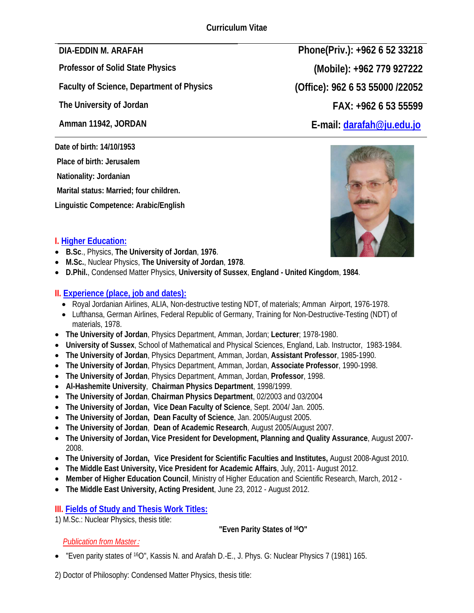**Faculty of Science, Department of Physics (Office): 962 6 53 55000 /22052**

**Date of birth: 14/10/1953** 

 **Place of birth: Jerusalem** 

 **Nationality: Jordanian** 

 **Marital status: Married; four children.** 

**Linguistic Competence: Arabic/English**

**DIA-EDDIN M. ARAFAH Phone(Priv.): +962 6 52 33218 Professor of Solid State Physics (Mobile): +962 779 927222 The University of Jordan FAX: +962 6 53 55599 Amman 11942, JORDAN E-mail: darafah@ju.edu.jo**



## **I. Higher Education:**

- **B.Sc**., Physics, **The University of Jordan**, **1976**.
- **M.Sc.**, Nuclear Physics, **The University of Jordan**, **1978**.
- **D.Phil.**, Condensed Matter Physics, **University of Sussex**, **England United Kingdom**, **1984**.

## **II. Experience (place, job and dates):**

- Royal Jordanian Airlines, ALIA, Non-destructive testing NDT, of materials; Amman Airport, 1976-1978.
- Lufthansa, German Airlines, Federal Republic of Germany, Training for Non-Destructive-Testing (NDT) of materials, 1978.
- **The University of Jordan**, Physics Department, Amman, Jordan; **Lecturer**; 1978-1980.
- **University of Sussex**, School of Mathematical and Physical Sciences, England, Lab. Instructor, 1983-1984.
- **The University of Jordan**, Physics Department, Amman, Jordan, **Assistant Professor**, 1985-1990.
- **The University of Jordan**, Physics Department, Amman, Jordan, **Associate Professor**, 1990-1998.
- **The University of Jordan**, Physics Department, Amman, Jordan, **Professor**, 1998.
- **Al-Hashemite University**, **Chairman Physics Department**, 1998/1999.
- **The University of Jordan**, **Chairman Physics Department**, 02/2003 and 03/2004
- **The University of Jordan, Vice Dean Faculty of Science**, Sept. 2004/ Jan. 2005.
- **The University of Jordan, Dean Faculty of Science**, Jan. 2005/August 2005.
- **The University of Jordan**, **Dean of Academic Research**, August 2005/August 2007.
- **The University of Jordan, Vice President for Development, Planning and Quality Assurance**, August 2007- 2008.
- **The University of Jordan, Vice President for Scientific Faculties and Institutes,** August 2008-Agust 2010.
- **The Middle East University, Vice President for Academic Affairs**, July, 2011- August 2012.
- **Member of Higher Education Council**, Ministry of Higher Education and Scientific Research, March, 2012 -
- **The Middle East University, Acting President**, June 23, 2012 August 2012.

## **III. Fields of Study and Thesis Work Titles:**

1) M.Sc.: Nuclear Physics, thesis title:

## **"Even Parity States of 16O"**

## *Publication from Master*:

• "Even parity states of 16O", Kassis N. and Arafah D.-E., J. Phys. G: Nuclear Physics 7 (1981) 165.

2) Doctor of Philosophy: Condensed Matter Physics, thesis title: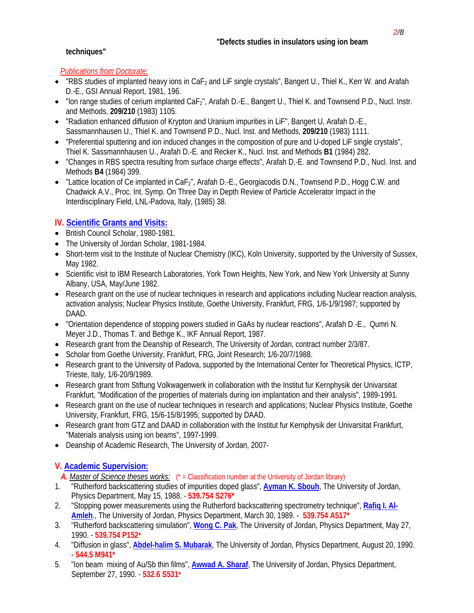### **techniques"**

#### *Publications from Doctorate:*

- "RBS studies of implanted heavy ions in  $CaF<sub>2</sub>$  and LiF single crystals", Bangert U., Thiel K., Kerr W. and Arafah D.-E., GSI Annual Report, 1981, 196.
- "Ion range studies of cerium implanted  $CaF<sub>2</sub>$ ", Arafah D.-E., Bangert U., Thiel K. and Townsend P.D., Nucl. Instr. and Methods, **209/210** (1983) 1105.
- "Radiation enhanced diffusion of Krypton and Uranium impurities in LiF", Bangert U, Arafah D.-E., Sassmannhausen U., Thiel K. and Townsend P.D., Nucl. Inst. and Methods, **209/210** (1983) 1111.
- "Preferential sputtering and ion induced changes in the composition of pure and U-doped LiF single crystals", Thiel K. Sassmannhausen U., Arafah D.-E. and Recker K., Nucl. Inst. and Methods **B1** (1984) 282.
- "Changes in RBS spectra resulting from surface charge effects", Arafah D.-E. and Townsend P.D., Nucl. Inst. and Methods **B4** (1984) 399.
- "Lattice location of Ce implanted in  $CaE<sub>2</sub>$ ", Arafah D.-E., Georgiacodis D.N., Townsend P.D., Hogg C.W. and Chadwick A.V., Proc. Int. Symp. On Three Day in Depth Review of Particle Accelerator Impact in the Interdisciplinary Field, LNL-Padova, Italy, (1985) 38.

## **IV. Scientific Grants and Visits:**

- British Council Scholar, 1980-1981.
- The University of Jordan Scholar, 1981-1984.
- Short-term visit to the Institute of Nuclear Chemistry (IKC), Koln University, supported by the University of Sussex, May 1982.
- Scientific visit to IBM Research Laboratories, York Town Heights, New York, and New York University at Sunny Albany, USA, May/June 1982.
- Research grant on the use of nuclear techniques in research and applications including Nuclear reaction analysis, activation analysis; Nuclear Physics Institute, Goethe University, Frankfurt, FRG, 1/6-1/9/1987; supported by DAAD.
- "Orientation dependence of stopping powers studied in GaAs by nuclear reactions", Arafah D.-E., Qumri N. Meyer J.D., Thomas T. and Bethge K., IKF Annual Report, 1987.
- Research grant from the Deanship of Research, The University of Jordan, contract number 2/3/87.
- Scholar from Goethe University, Frankfurt, FRG, Joint Research; 1/6-20/7/1988.
- Research grant to the University of Padova, supported by the International Center for Theoretical Physics, ICTP, Trieste, Italy, 1/6-20/9/1989.
- Research grant from Stiftung Volkwagenwerk in collaboration with the Institut fur Kernphysik der Univarsitat Frankfurt, "Modification of the properties of materials during ion implantation and their analysis", 1989-1991.
- Research grant on the use of nuclear techniques in research and applications; Nuclear Physics Institute, Goethe University, Frankfurt, FRG, 15/6-15/8/1995; supported by DAAD.
- Research grant from GTZ and DAAD in collaboration with the Institut fur Kernphysik der Univarsitat Frankfurt, "Materials analysis using ion beams", 1997-1999.
- Deanship of Academic Research, The University of Jordan, 2007-

## **V. Academic Supervision:**

A. *Master of Science theses works:*  $(*$  = Classification number at the University of Jordan library)

- 1. "Rutherford backscattering studies of impurities doped glass", **Ayman K. Sbouh**, The University of Jordan, Physics Department, May 15, 1988. - **539.754 S276\***
- 2. "Stopping power measurements using the Rutherford backscattering spectrometry technique", **Rafiq I. Al-Amleh**., The University of Jordan, Physics Department, March 30, 1989. - **539.754 A517\***
- 3. "Rutherford backscattering simulation", **Wong C. Pak**, The University of Jordan, Physics Department, May 27, 1990. - **539.754 P152\***
- 4. "Diffusion in glass", **Abdel-halim S. Mubarak**, The University of Jordan, Physics Department, August 20, 1990. - **544.5 M941\***
- 5. "Ion beam mixing of Au/Sb thin films", **Awwad A. Sharaf**, The University of Jordan, Physics Department, September 27, 1990. - **532.6 S531\***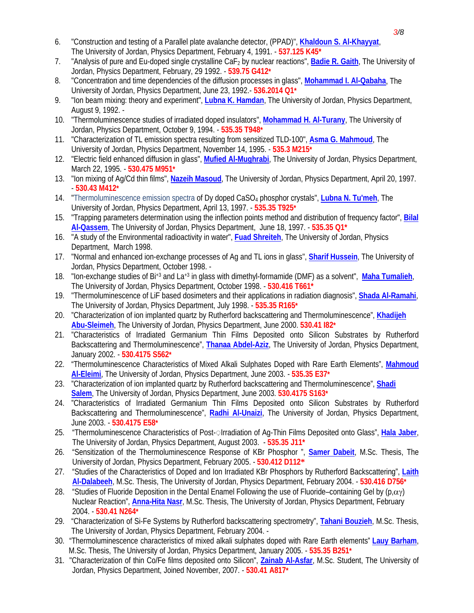- 6. "Construction and testing of a Parallel plate avalanche detector, (PPAD)", **Khaldoun S. Al-Khayyat**, The University of Jordan, Physics Department, February 4, 1991. - **537.125 K45\***
- 7. "Analysis of pure and Eu-doped single crystalline CaF2 by nuclear reactions", **Badie R. Gaith**, The University of Jordan, Physics Department, February, 29 1992. - **539.75 G412\***
- 8. "Concentration and time dependencies of the diffusion processes in glass", **Mohammad I. Al-Qabaha**, The University of Jordan, Physics Department, June 23, 1992.- **536.2014 Q1\***
- 9. "Ion beam mixing: theory and experiment", **Lubna K. Hamdan**, The University of Jordan, Physics Department, August 9, 1992. -
- 10. "Thermoluminescence studies of irradiated doped insulators", **Mohammad H. Al-Turany**, The University of Jordan, Physics Department, October 9, 1994. - **535.35 T948\***
- 11. "Characterization of TL emission spectra resulting from sensitized TLD-100", **Asma G. Mahmoud**, The University of Jordan, Physics Department, November 14, 1995. - **535.3 M215\***
- 12. "Electric field enhanced diffusion in glass", **Mufied Al-Mughrabi**, The University of Jordan, Physics Department, March 22, 1995. - **530.475 M951\***
- 13. "Ion mixing of Ag/Cd thin films", **Nazeih Masoud**, The University of Jordan, Physics Department, April 20, 1997. - **530.43 M412\***
- 14. "Thermoluminescence emission spectra of Dy doped CaSO4 phosphor crystals", **Lubna N. Tu'meh**, The University of Jordan, Physics Department, April 13, 1997. - **535.35 T925\***
- 15. "Trapping parameters determination using the inflection points method and distribution of frequency factor", **Bilal Al-Qassem**, The University of Jordan, Physics Department, June 18, 1997. - **535.35 Q1\***
- 16. "A study of the Environmental radioactivity in water", **Fuad Shreiteh**, The University of Jordan, Physics Department, March 1998.
- 17. "Normal and enhanced ion-exchange processes of Ag and TL ions in glass", **Sharif Hussein**, The University of Jordan, Physics Department, October 1998. -
- 18. "Ion-exchange studies of Bi+3 and La+3 in glass with dimethyl-formamide (DMF) as a solvent", **Maha Tumalieh**, The University of Jordan, Physics Department, October 1998. - **530.416 T661\***
- 19. "Thermoluminescence of LiF based dosimeters and their applications in radiation diagnosis", **Shada Al-Ramahi**, The University of Jordan, Physics Department, July 1998. - **535.35 R165\***
- 20. "Characterization of ion implanted quartz by Rutherford backscattering and Thermoluminescence", **Khadijeh Abu-Sleimeh**, The University of Jordan, Physics Department, June 2000. **530.41 I82\***
- 21. "Characteristics of Irradiated Germanium Thin Films Deposited onto Silicon Substrates by Rutherford Backscattering and Thermoluminescence", **Thanaa Abdel-Aziz**, The University of Jordan, Physics Department, January 2002. - **530.4175 S562\***
- 22. "Thermoluminescence Characteristics of Mixed Alkali Sulphates Doped with Rare Earth Elements", **Mahmoud Al-Eleimi**, The University of Jordan, Physics Department, June 2003. - **535.35 E37\***
- 23. "Characterization of ion implanted quartz by Rutherford backscattering and Thermoluminescence", **Shadi Salem**, The University of Jordan, Physics Department, June 2003. **530.4175 S163\***
- 24. "Characteristics of Irradiated Germanium Thin Films Deposited onto Silicon Substrates by Rutherford Backscattering and Thermoluminescence", **Radhi Al-Unaizi**, The University of Jordan, Physics Department, June 2003. - **530.4175 E58\***
- 25. "Thermoluminescence Characteristics of Post-◌ِ Irradiation of Ag-Thin Films Deposited onto Glass", **Hala Jaber**, The University of Jordan, Physics Department, August 2003. - **535.35 J11\***
- 26. "Sensitization of the Thermoluminescence Response of KBr Phosphor ", **Samer Dabeit**, M.Sc. Thesis, The University of Jordan, Physics Department, February 2005. - **530.412 D112\***
- 27. "Studies of the Characteristics of Doped and Ion Irradiated KBr Phosphors by Rutherford Backscattering", **Laith Al-Dalabeeh**, M.Sc. Thesis, The University of Jordan, Physics Department, February 2004. - **530.416 D756\***
- 28."Studies of Fluoride Deposition in the Dental Enamel Following the use of Fluoride–containing Gel by (p,αγ) Nuclear Reaction", **Anna-Hita Nasr**, M.Sc. Thesis, The University of Jordan, Physics Department, February 2004. - **530.41 N264\***
- 29. "Characterization of Si-Fe Systems by Rutherford backscattering spectrometry", **Tahani Bouzieh**, M.Sc. Thesis, The University of Jordan, Physics Department, February 2004. -
- 30. "Thermoluminescence characteristics of mixed alkali sulphates doped with Rare Earth elements" **Lauy Barham**, M.Sc. Thesis, The University of Jordan, Physics Department, January 2005. - **535.35 B251\***
- 31. "Characterization of thin Co/Fe films deposited onto Silicon", **Zainab Al-Asfar**, M.Sc. Student, The University of Jordan, Physics Department, Joined November, 2007. - **530.41 A817\***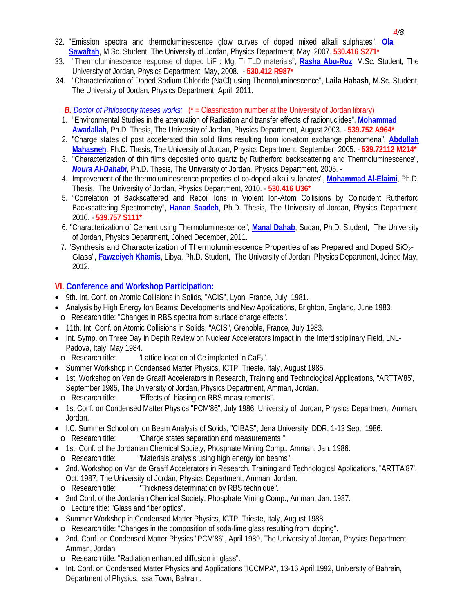- 32. "Emission spectra and thermoluminescence glow curves of doped mixed alkali sulphates", **Ola Sawaftah**, M.Sc. Student, The University of Jordan, Physics Department, May, 2007. **530.416 S271\***
- 33. "Thermoluminescence response of doped LiF : Mg, Ti TLD materials", **Rasha Abu-Ruz**, M.Sc. Student, The University of Jordan, Physics Department, May, 2008. - **530.412 R987\***
- 34. "Characterization of Doped Sodium Chloride (NaCl) using Thermoluminescence", **Laila Habash**, M.Sc. Student, The University of Jordan, Physics Department, April, 2011.

*B. Doctor of Philosophy theses works:* (\* = Classification number at the University of Jordan library)

- 1. "Environmental Studies in the attenuation of Radiation and transfer effects of radionuclides", **Mohammad Awadallah**, Ph.D. Thesis, The University of Jordan, Physics Department, August 2003. - **539.752 A964\***
- 2. "Charge states of post accelerated thin solid films resulting from ion-atom exchange phenomena", **Abdullah Mahasneh**, Ph.D. Thesis, The University of Jordan, Physics Department, September, 2005. - **539.72112 M214\***
- 3. "Characterization of thin films deposited onto quartz by Rutherford backscattering and Thermoluminescence", *Noura Al-Dahabi*, Ph.D. Thesis, The University of Jordan, Physics Department, 2005. -
- 4. Improvement of the thermoluminescence properties of co-doped alkali sulphates", **Mohammad Al-Elaimi**, Ph.D. Thesis, The University of Jordan, Physics Department, 2010. - **530.416 U36\***
- 5. "Correlation of Backscattered and Recoil Ions in Violent Ion-Atom Collisions by Coincident Rutherford Backscattering Spectrometry", **Hanan Saadeh**, Ph.D. Thesis, The University of Jordan, Physics Department, 2010. - **539.757 S111\***
- 6. "Characterization of Cement using Thermoluminescence", **Manal Dahab**, Sudan, Ph.D. Student, The University of Jordan, Physics Department, Joined December, 2011.
- 7. "Synthesis and Characterization of Thermoluminescence Properties of as Prepared and Doped SiO<sub>2</sub>-Glass", **Fawzeiyeh Khamis**, Libya, Ph.D. Student, The University of Jordan, Physics Department, Joined May, 2012.

#### **VI. Conference and Workshop Participation:**

- 9th. Int. Conf. on Atomic Collisions in Solids, "ACIS", Lyon, France, July, 1981.
- Analysis by High Energy Ion Beams: Developments and New Applications, Brighton, England, June 1983. o Research title: "Changes in RBS spectra from surface charge effects".
- 11th. Int. Conf. on Atomic Collisions in Solids, "ACIS", Grenoble, France, July 1983.
- Int. Symp. on Three Day in Depth Review on Nuclear Accelerators Impact in the Interdisciplinary Field, LNL-Padova, Italy, May 1984.
- $\circ$  Research title: "Lattice location of Ce implanted in CaF<sub>2</sub>".
- Summer Workshop in Condensed Matter Physics, ICTP, Trieste, Italy, August 1985.
- 1st. Workshop on Van de Graaff Accelerators in Research, Training and Technological Applications, "ARTTA'85', September 1985, The University of Jordan, Physics Department, Amman, Jordan. o Research title: "Effects of biasing on RBS measurements".
- 1st Conf. on Condensed Matter Physics "PCM'86", July 1986, University of Jordan, Physics Department, Amman, Jordan.
- I.C. Summer School on Ion Beam Analysis of Solids, "CIBAS", Jena University, DDR, 1-13 Sept. 1986.
- o Research title: "Charge states separation and measurements ".
- 1st. Conf. of the Jordanian Chemical Society, Phosphate Mining Comp., Amman, Jan. 1986. o Research title: "Materials analysis using high energy ion beams".
- 2nd. Workshop on Van de Graaff Accelerators in Research, Training and Technological Applications, "ARTTA'87', Oct. 1987, The University of Jordan, Physics Department, Amman, Jordan.
	- o Research title: "Thickness determination by RBS technique".
- 2nd Conf. of the Jordanian Chemical Society, Phosphate Mining Comp., Amman, Jan. 1987.
- o Lecture title: "Glass and fiber optics".
- Summer Workshop in Condensed Matter Physics, ICTP, Trieste, Italy, August 1988.
- o Research title: "Changes in the composition of soda-lime glass resulting from doping".
- 2nd. Conf. on Condensed Matter Physics "PCM'86", April 1989, The University of Jordan, Physics Department, Amman, Jordan.
	- o Research title: "Radiation enhanced diffusion in glass".
- Int. Conf. on Condensed Matter Physics and Applications "ICCMPA", 13-16 April 1992, University of Bahrain, Department of Physics, Issa Town, Bahrain.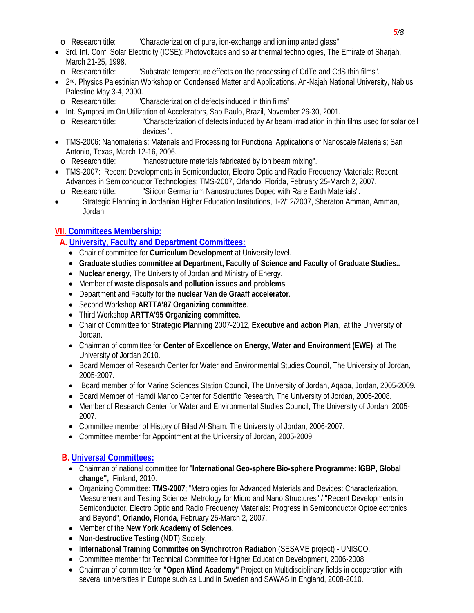- o Research title: "Characterization of pure, ion-exchange and ion implanted glass".
- 3rd. Int. Conf. Solar Electricity (ICSE): Photovoltaics and solar thermal technologies, The Emirate of Sharjah, March 21-25, 1998.
	- o Research title: "Substrate temperature effects on the processing of CdTe and CdS thin films".
- 2<sup>nd</sup>. Physics Palestinian Workshop on Condensed Matter and Applications, An-Najah National University, Nablus, Palestine May 3-4, 2000.
- o Research title: "Characterization of defects induced in thin films"
- Int. Symposium On Utilization of Accelerators, Sao Paulo, Brazil, November 26-30, 2001.
- o Research title: "Characterization of defects induced by Ar beam irradiation in thin films used for solar cell devices ".
- TMS-2006: Nanomaterials: Materials and Processing for Functional Applications of Nanoscale Materials; San Antonio, Texas, March 12-16, 2006.
- o Research title: "nanostructure materials fabricated by ion beam mixing".
- TMS-2007: Recent Developments in Semiconductor, Electro Optic and Radio Frequency Materials: Recent Advances in Semiconductor Technologies; TMS-2007, Orlando, Florida, February 25-March 2, 2007.
- o Research title: "Silicon Germanium Nanostructures Doped with Rare Earth Materials".
- Strategic Planning in Jordanian Higher Education Institutions, 1-2/12/2007, Sheraton Amman, Amman, Jordan.

# **VII. Committees Membership:**

- **A. University, Faculty and Department Committees:**
	- Chair of committee for **Curriculum Development** at University level.
	- **Graduate studies committee at Department, Faculty of Science and Faculty of Graduate Studies..**
	- **Nuclear energy**, The University of Jordan and Ministry of Energy.
	- Member of **waste disposals and pollution issues and problems**.
	- Department and Faculty for the **nuclear Van de Graaff accelerator**.
	- Second Workshop **ARTTA'87 Organizing committee**.
	- Third Workshop **ARTTA'95 Organizing committee**.
	- Chair of Committee for **Strategic Planning** 2007-2012, **Executive and action Plan**, at the University of Jordan.
	- Chairman of committee for **Center of Excellence on Energy, Water and Environment (EWE)** at The University of Jordan 2010.
	- Board Member of Research Center for Water and Environmental Studies Council, The University of Jordan, 2005-2007.
	- Board member of for Marine Sciences Station Council, The University of Jordan, Agaba, Jordan, 2005-2009.
	- Board Member of Hamdi Manco Center for Scientific Research, The University of Jordan, 2005-2008.
	- Member of Research Center for Water and Environmental Studies Council, The University of Jordan, 2005- 2007.
	- Committee member of History of Bilad Al-Sham, The University of Jordan, 2006-2007.
	- Committee member for Appointment at the University of Jordan, 2005-2009.

# **B. Universal Committees:**

- Chairman of national committee for "**International Geo-sphere Bio-sphere Programme: IGBP, Global change",** Finland, 2010.
- Organizing Committee: **TMS-2007**; "Metrologies for Advanced Materials and Devices: Characterization, Measurement and Testing Science: Metrology for Micro and Nano Structures" / "Recent Developments in Semiconductor, Electro Optic and Radio Frequency Materials: Progress in Semiconductor Optoelectronics and Beyond", **Orlando, Florida**, February 25-March 2, 2007.
- Member of the **New York Academy of Sciences**.
- **Non-destructive Testing** (NDT) Society.
- **International Training Committee on Synchrotron Radiation** (SESAME project) UNISCO.
- Committee member for Technical Committee for Higher Education Development, 2006-2008
- Chairman of committee for **"Open Mind Academy"** Project on Multidisciplinary fields in cooperation with several universities in Europe such as Lund in Sweden and SAWAS in England, 2008-2010.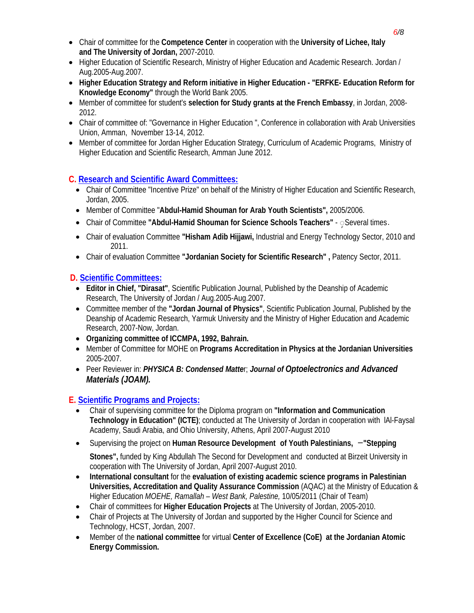- Chair of committee for the **Competence Center** in cooperation with the **University of Lichee, Italy and The University of Jordan,** 2007-2010.
- Higher Education of Scientific Research, Ministry of Higher Education and Academic Research. Jordan / Aug.2005-Aug.2007.
- **Higher Education Strategy and Reform initiative in Higher Education "ERFKE- Education Reform for Knowledge Economy"** through the World Bank 2005.
- Member of committee for student's **selection for Study grants at the French Embassy**, in Jordan, 2008- 2012.
- Chair of committee of: "Governance in Higher Education ", Conference in collaboration with Arab Universities Union, Amman, November 13-14, 2012.
- Member of committee for Jordan Higher Education Strategy, Curriculum of Academic Programs, Ministry of Higher Education and Scientific Research, Amman June 2012.

### **C. Research and Scientific Award Committees:**

- Chair of Committee "Incentive Prize" on behalf of the Ministry of Higher Education and Scientific Research, Jordan, 2005.
- Member of Committee "**Abdul-Hamid Shouman for Arab Youth Scientists",** 2005/2006.
- Chair of Committee **"Abdul-Hamid Shouman for Science Schools Teachers"** ◌ٍ Several times.
- Chair of evaluation Committee **"Hisham Adib Hijjawi,** Industrial and Energy Technology Sector, 2010 and 2011.
- Chair of evaluation Committee **"Jordanian Society for Scientific Research" ,** Patency Sector, 2011.

## **D. Scientific Committees:**

- **Editor in Chief, "Dirasat"**, Scientific Publication Journal, Published by the Deanship of Academic Research, The University of Jordan / Aug.2005-Aug.2007.
- Committee member of the **"Jordan Journal of Physics"**, Scientific Publication Journal, Published by the Deanship of Academic Research, Yarmuk University and the Ministry of Higher Education and Academic Research, 2007-Now, Jordan.
- **Organizing committee of ICCMPA, 1992, Bahrain.**
- Member of Committee for MOHE on **Programs Accreditation in Physics at the Jordanian Universities** 2005-2007.
- Peer Reviewer in: *PHYSICA B: Condensed Matte*r; *Journal of Optoelectronics and Advanced Materials (JOAM).*

## **E. Scientific Programs and Projects:**

- Chair of supervising committee for the Diploma program on **"Information and Communication Technology in Education" (ICTE)**; conducted at The University of Jordan in cooperation with lAl-Faysal Academy, Saudi Arabia, and Ohio University, Athens, April 2007-August 2010
- Supervising the project on **Human Resource Development of Youth Palestinians, -"Stepping**

**Stones",** funded by King Abdullah The Second for Development and conducted at Birzeit University in cooperation with The University of Jordan, April 2007-August 2010.

- **International consultant** for the **evaluation of existing academic science programs in Palestinian Universities, Accreditation and Quality Assurance Commission** (AQAC) at the Ministry of Education & Higher Education *MOEHE, Ramallah – West Bank, Palestine,* 10/05/2011 (Chair of Team)
- Chair of committees for **Higher Education Projects** at The University of Jordan, 2005-2010.
- Chair of Projects at The University of Jordan and supported by the Higher Council for Science and Technology, HCST, Jordan, 2007.
- Member of the **national committee** for virtual **Center of Excellence (CoE) at the Jordanian Atomic Energy Commission.**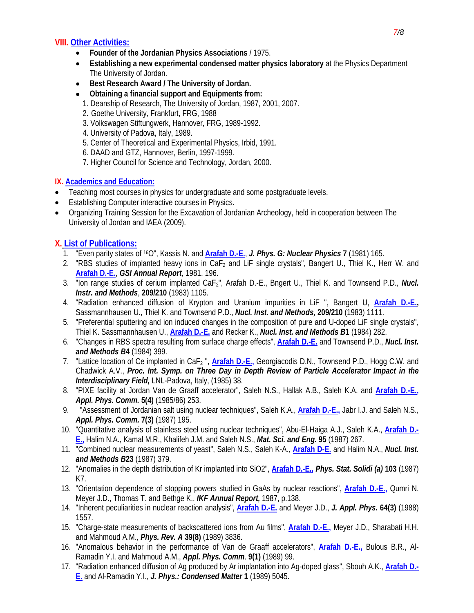#### **VIII. Other Activities:**

- **Founder of the Jordanian Physics Associations** / 1975.
- **Establishing a new experimental condensed matter physics laboratory** at the Physics Department The University of Jordan.
- **Best Research Award / The University of Jordan.**
- **Obtaining a financial support and Equipments from:** 
	- 1. Deanship of Research, The University of Jordan, 1987, 2001, 2007.
	- 2. Goethe University, Frankfurt, FRG, 1988
	- 3. Volkswagen Stiftungwerk, Hannover, FRG, 1989-1992.
	- 4. University of Padova, Italy, 1989.
	- 5. Center of Theoretical and Experimental Physics, Irbid, 1991.
	- 6. DAAD and GTZ, Hannover, Berlin, 1997-1999.
	- 7. Higher Council for Science and Technology, Jordan, 2000.

#### **IX. Academics and Education:**

- Teaching most courses in physics for undergraduate and some postgraduate levels.
- Establishing Computer interactive courses in Physics.
- Organizing Training Session for the Excavation of Jordanian Archeology, held in cooperation between The University of Jordan and IAEA (2009).

### **X. List of Publications:**

- 1. "Even parity states of 16O", Kassis N. and **Arafah D.-E.**, *J. Phys. G: Nuclear Physics* **7** (1981) 165.
- 2. "RBS studies of implanted heavy ions in CaF<sub>2</sub> and LiF single crystals", Bangert U., Thiel K., Herr W. and **Arafah D.-E.**, *GSI Annual Report*, 1981, 196.
- 3. "Ion range studies of cerium implanted CaF2", Arafah D.-E., Bngert U., Thiel K. and Townsend P.D., *Nucl. Instr. and Methods*, **209/210** (1983) 1105.
- 4. "Radiation enhanced diffusion of Krypton and Uranium impurities in LiF ", Bangert U, **Arafah D.-E.,** Sassmannhausen U., Thiel K. and Townsend P.D., *Nucl. Inst. and Methods,* **209/210** (1983) 1111.
- 5. "Preferential sputtering and ion induced changes in the composition of pure and U-doped LiF single crystals", Thiel K. Sassmannhausen U., **Arafah D.-E.** and Recker K., *Nucl. Inst. and Methods B***1** (1984) 282.
- 6. "Changes in RBS spectra resulting from surface charge effects", **Arafah D.-E.** and Townsend P.D., *Nucl. Inst. and Methods B***4** (1984) 399.
- 7. "Lattice location of Ce implanted in CaF2 ", **Arafah D.-E.,** Georgiacodis D.N., Townsend P.D., Hogg C.W. and Chadwick A.V., *Proc. Int. Symp. on Three Day in Depth Review of Particle Accelerator Impact in the Interdisciplinary Field,* LNL-Padova, Italy, (1985) 38.
- 8. "PIXE facility at Jordan Van de Graaff accelerator", Saleh N.S., Hallak A.B., Saleh K.A. and **Arafah D.-E.,** *Appl. Phys. Comm.* **5(4)** (1985/86) 253.
- 9. "Assessment of Jordanian salt using nuclear techniques", Saleh K.A., **Arafah D.-E.,** Jabr I.J. and Saleh N.S., *Appl. Phys. Comm.* **7(3)** (1987) 195.
- 10. "Quantitative analysis of stainless steel using nuclear techniques", Abu-El-Haiga A.J., Saleh K.A., **Arafah D.- E.,** Halim N.A., Kamal M.R., Khalifeh J.M. and Saleh N.S., *Mat. Sci. and Eng.* **95** (1987) 267.
- 11. "Combined nuclear measurements of yeast", Saleh N.S., Saleh K-A., **Arafah D-E.** and Halim N.A., *Nucl. Inst. and Methods B***23** (1987) 379.
- 12. "Anomalies in the depth distribution of Kr implanted into SiO2", **Arafah D.-E.,** *Phys. Stat. Solidi (a)* **103** (1987) K7.
- 13. "Orientation dependence of stopping powers studied in GaAs by nuclear reactions", **Arafah D.-E.,** Qumri N. Meyer J.D., Thomas T. and Bethge K., *IKF Annual Report,* 1987, p.138.
- 14. "Inherent peculiarities in nuclear reaction analysis", **Arafah D.-E.** and Meyer J.D., *J. Appl. Phys.* **64(3)** (1988) 1557.
- 15. "Charge-state measurements of backscattered ions from Au films", **Arafah D.-E.,** Meyer J.D., Sharabati H.H. and Mahmoud A.M., *Phys. Rev. A* **39(8)** (1989) 3836.
- 16. "Anomalous behavior in the performance of Van de Graaff accelerators", **Arafah D.-E.,** Bulous B.R., Al-Ramadin Y.I. and Mahmoud A.M., *Appl. Phys. Comm*. **9(1)** (1989) 99.
- 17. "Radiation enhanced diffusion of Ag produced by Ar implantation into Ag-doped glass", Sbouh A.K., **Arafah D.- E.** and Al-Ramadin Y.I., *J. Phys.: Condensed Matter* **1** (1989) 5045.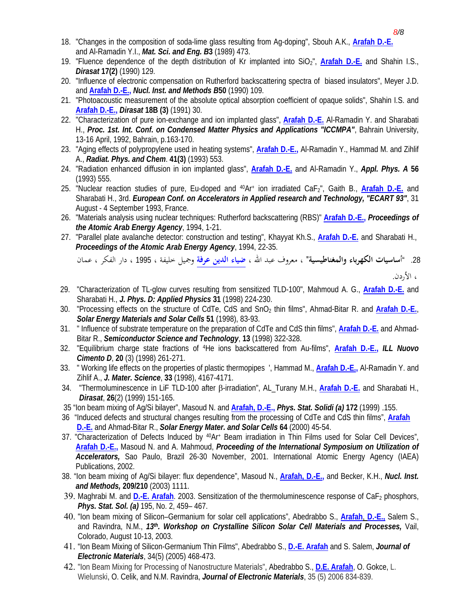- 18. "Changes in the composition of soda-lime glass resulting from Ag-doping", Sbouh A.K., **Arafah D.-E.** and Al-Ramadin Y.I., *Mat. Sci. and Eng. B***3** (1989) 473.
- 19. "Fluence dependence of the depth distribution of Kr implanted into SiO2", **Arafah D.-E.** and Shahin I.S., *Dirasat* **17(2)** (1990) 129.
- 20. "Influence of electronic compensation on Rutherford backscattering spectra of biased insulators", Meyer J.D. and **Arafah D.-E.,** *Nucl. Inst. and Methods B***50** (1990) 109.
- 21. "Photoacoustic measurement of the absolute optical absorption coefficient of opaque solids", Shahin I.S. and **Arafah D.-E.,** *Dirasat* **18B (3)** (1991) 30.
- 22. "Characterization of pure ion-exchange and ion implanted glass", **Arafah D.-E.** Al-Ramadin Y. and Sharabati H., *Proc. 1st. Int. Conf. on Condensed Matter Physics and Applications "ICCMPA"*, Bahrain University, 13-16 April, 1992, Bahrain, p.163-170.
- 23. "Aging effects of polypropylene used in heating systems", **Arafah D.-E.,** Al-Ramadin Y., Hammad M. and Zihlif A., *Radiat. Phys. and Chem*. **41(3)** (1993) 553.
- 24. "Radiation enhanced diffusion in ion implanted glass", **Arafah D.-E.** and Al-Ramadin Y., *Appl. Phys. A* **56** (1993) 555.
- 25. "Nuclear reaction studies of pure, Eu-doped and <sup>40</sup>Ar+ ion irradiated CaF<sub>2</sub>", Gaith B., Arafah D.-E. and Sharabati H., 3rd. *European Conf. on Accelerators in Applied research and Technology, "ECART 93"*, 31 August - 4 September 1993, France.
- 26. "Materials analysis using nuclear techniques: Rutherford backscattering (RBS)" **Arafah D.-E.,** *Proceedings of the Atomic Arab Energy Agency*, 1994, 1-21.
- 27. "Parallel plate avalanche detector: construction and testing", Khayyat Kh.S., **Arafah D.-E.** and Sharabati H., *Proceedings of the Atomic Arab Energy Agency*, 1994, 22-35.

.28 "أ**ساسيات الكهرباء والمغناطيسية"** ، معروف عبد االله ، **ضياء الدين عرفة** وجميل خليفة ، 1995 ، دار الفكر ، عمان

، الأردن.

- 29. "Characterization of TL-glow curves resulting from sensitized TLD-100", Mahmoud A. G., **Arafah D.-E.** and Sharabati H., *J. Phys. D: Applied Physics* **31** (1998) 224-230.
- 30. "Processing effects on the structure of CdTe, CdS and SnO2 thin films", Ahmad-Bitar R. and **Arafah D.-E.**, *Solar Energy Materials and Solar Cells* **51** (1998), 83-93.
- 31. " Influence of substrate temperature on the preparation of CdTe and CdS thin films", **Arafah D.-E.** and Ahmad-Bitar R., *Semiconductor Science and Technology*, **13** (1998) 322-328.
- 32. "Equilibrium charge state fractions of 4He ions backscattered from Au-films", **Arafah D.-E.,** *ILL Nuovo Cimento D*, **20** (3) (1998) 261-271.
- 33. " Working life effects on the properties of plastic thermopipes ', Hammad M., **Arafah D.-E.,** Al-Ramadin Y. and Zihlif A., *J. Mater. Science*, **33** (1998), 4167-4171.
- 34. "Thermoluminescence in LiF TLD-100 after β-irradiation", AL\_Turany M.H., **Arafah D.-E.** and Sharabati H., *Dirasat*, **26**(2) (1999) 151-165.
- 35 "Ion beam mixing of Ag/Si bilayer", Masoud N. and **Arafah, D.-E.,** *Phys. Stat. Solidi (a)* **172** (1999) .155.
- 36 "Induced defects and structural changes resulting from the processing of CdTe and CdS thin films", **Arafah D.-E.** and Ahmad-Bitar R., *Solar Energy Mater. and Solar Cells* **64** (2000) 45-54.
- 37. "Characterization of Defects Induced by <sup>40</sup>Ar<sup>+</sup> Beam irradiation in Thin Films used for Solar Cell Devices", **Arafah D.-E.,** Masoud N. and A. Mahmoud, *Proceeding of the International Symposium on Utilization of Accelerators,* Sao Paulo, Brazil 26-30 November, 2001. International Atomic Energy Agency (IAEA) Publications, 2002.
- 38. "Ion beam mixing of Ag/Si bilayer: flux dependence", Masoud N., **Arafah, D.-E.,** and Becker, K.H., *Nucl. Inst. and Methods,* **209/210** (2003) 1111.
- 39. Maghrabi M. and **D.-E. Arafah**. 2003. Sensitization of the thermoluminescence response of CaF<sub>2</sub> phosphors, *Phys. Stat. Sol. (a)* 195, No. 2, 459– 467.
- 40. "Ion beam mixing of Silicon–Germanium for solar cell applications", Abedrabbo S., **Arafah**, **D.-E.,** Salem S., and Ravindra, N.M., *13th. Workshop on Crystalline Silicon Solar Cell Materials and Processes,* Vail, Colorado, August 10-13, 2003.
- 41. "Ion Beam Mixing of Silicon-Germanium Thin Films", Abedrabbo S., **D.-E. Arafah** and S. Salem, *Journal of Electronic Materials*, 34(5) (2005) 468-473.
- 42. "Ion Beam Mixing for Processing of Nanostructure Materials", Abedrabbo S., **D.E. Arafah**, O. Gokce, L. Wielunski, O. Celik, and N.M. Ravindra, *Journal of Electronic Materials*, 35 (5) 2006 834-839.